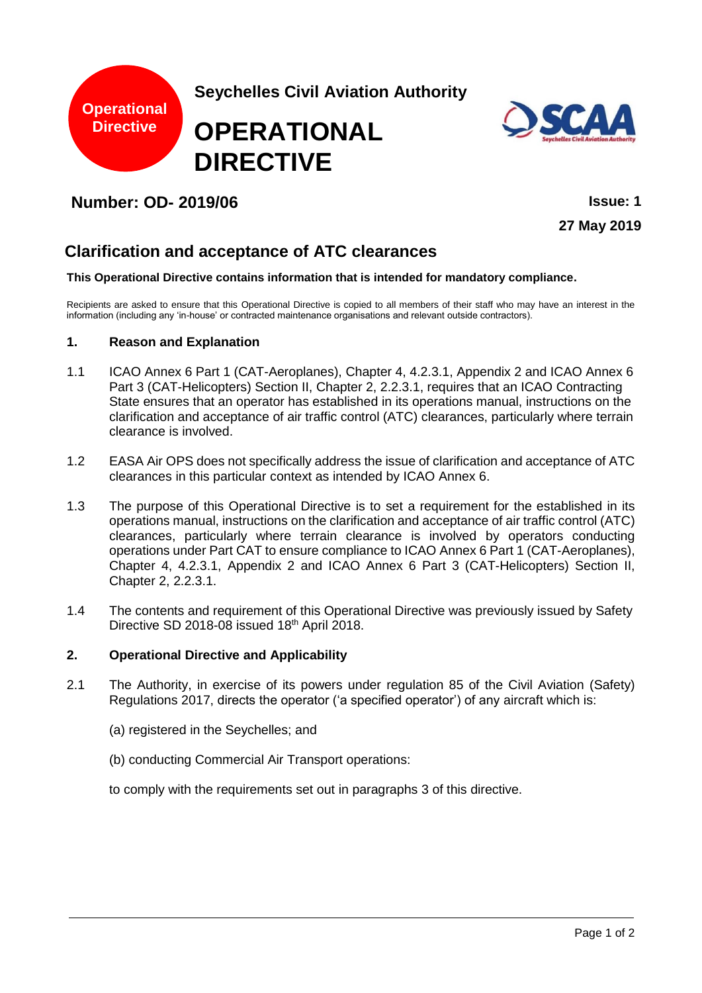



## **Number: OD- 2019/06 Issue: 1**

**27 May 2019**

# **Clarification and acceptance of ATC clearances**

#### **This Operational Directive contains information that is intended for mandatory compliance.**

Recipients are asked to ensure that this Operational Directive is copied to all members of their staff who may have an interest in the information (including any 'in-house' or contracted maintenance organisations and relevant outside contractors).

#### **1. Reason and Explanation**

- 1.1 ICAO Annex 6 Part 1 (CAT-Aeroplanes), Chapter 4, 4.2.3.1, Appendix 2 and ICAO Annex 6 Part 3 (CAT-Helicopters) Section II, Chapter 2, 2.2.3.1, requires that an ICAO Contracting State ensures that an operator has established in its operations manual, instructions on the clarification and acceptance of air traffic control (ATC) clearances, particularly where terrain clearance is involved.
- 1.2 EASA Air OPS does not specifically address the issue of clarification and acceptance of ATC clearances in this particular context as intended by ICAO Annex 6.
- 1.3 The purpose of this Operational Directive is to set a requirement for the established in its operations manual, instructions on the clarification and acceptance of air traffic control (ATC) clearances, particularly where terrain clearance is involved by operators conducting operations under Part CAT to ensure compliance to ICAO Annex 6 Part 1 (CAT-Aeroplanes), Chapter 4, 4.2.3.1, Appendix 2 and ICAO Annex 6 Part 3 (CAT-Helicopters) Section II, Chapter 2, 2.2.3.1.
- 1.4 The contents and requirement of this Operational Directive was previously issued by Safety Directive SD 2018-08 issued 18th April 2018.

## **2. Operational Directive and Applicability**

- 2.1 The Authority, in exercise of its powers under regulation 85 of the Civil Aviation (Safety) Regulations 2017, directs the operator ('a specified operator') of any aircraft which is:
	- (a) registered in the Seychelles; and
	- (b) conducting Commercial Air Transport operations:

to comply with the requirements set out in paragraphs 3 of this directive.